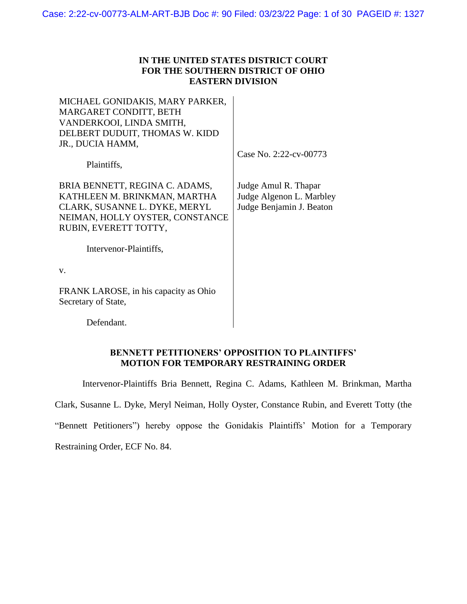## **IN THE UNITED STATES DISTRICT COURT FOR THE SOUTHERN DISTRICT OF OHIO EASTERN DIVISION**

MICHAEL GONIDAKIS, MARY PARKER, MARGARET CONDITT, BETH VANDERKOOI, LINDA SMITH, DELBERT DUDUIT, THOMAS W. KIDD JR., DUCIA HAMM,

Case No. 2:22-cv-00773

Plaintiffs,

BRIA BENNETT, REGINA C. ADAMS, KATHLEEN M. BRINKMAN, MARTHA CLARK, SUSANNE L. DYKE, MERYL NEIMAN, HOLLY OYSTER, CONSTANCE RUBIN, EVERETT TOTTY,

Judge Amul R. Thapar Judge Algenon L. Marbley Judge Benjamin J. Beaton

Intervenor-Plaintiffs,

v.

FRANK LAROSE, in his capacity as Ohio Secretary of State,

Defendant.

## **BENNETT PETITIONERS' OPPOSITION TO PLAINTIFFS' MOTION FOR TEMPORARY RESTRAINING ORDER**

Intervenor-Plaintiffs Bria Bennett, Regina C. Adams, Kathleen M. Brinkman, Martha

Clark, Susanne L. Dyke, Meryl Neiman, Holly Oyster, Constance Rubin, and Everett Totty (the

"Bennett Petitioners") hereby oppose the Gonidakis Plaintiffs' Motion for a Temporary

Restraining Order, ECF No. 84.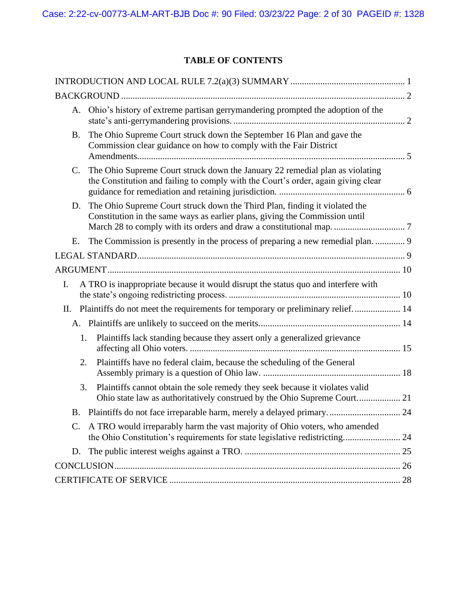# **TABLE OF CONTENTS**

|           | A. Ohio's history of extreme partisan gerrymandering prompted the adoption of the                                                                                 |  |
|-----------|-------------------------------------------------------------------------------------------------------------------------------------------------------------------|--|
| <b>B.</b> | The Ohio Supreme Court struck down the September 16 Plan and gave the<br>Commission clear guidance on how to comply with the Fair District                        |  |
| C.        | The Ohio Supreme Court struck down the January 22 remedial plan as violating<br>the Constitution and failing to comply with the Court's order, again giving clear |  |
| D.        | The Ohio Supreme Court struck down the Third Plan, finding it violated the<br>Constitution in the same ways as earlier plans, giving the Commission until         |  |
| Е.        |                                                                                                                                                                   |  |
|           |                                                                                                                                                                   |  |
|           |                                                                                                                                                                   |  |
| I.        | A TRO is inappropriate because it would disrupt the status quo and interfere with                                                                                 |  |
|           | II. Plaintiffs do not meet the requirements for temporary or preliminary relief 14                                                                                |  |
|           |                                                                                                                                                                   |  |
| 1.        | Plaintiffs lack standing because they assert only a generalized grievance                                                                                         |  |
| 2.        | Plaintiffs have no federal claim, because the scheduling of the General                                                                                           |  |
| 3.        | Plaintiffs cannot obtain the sole remedy they seek because it violates valid<br>Ohio state law as authoritatively construed by the Ohio Supreme Court 21          |  |
|           | B. Plaintiffs do not face irreparable harm, merely a delayed primary 24                                                                                           |  |
|           | C. A TRO would irreparably harm the vast majority of Ohio voters, who amended<br>the Ohio Constitution's requirements for state legislative redistricting 24      |  |
| D.        |                                                                                                                                                                   |  |
|           |                                                                                                                                                                   |  |
|           |                                                                                                                                                                   |  |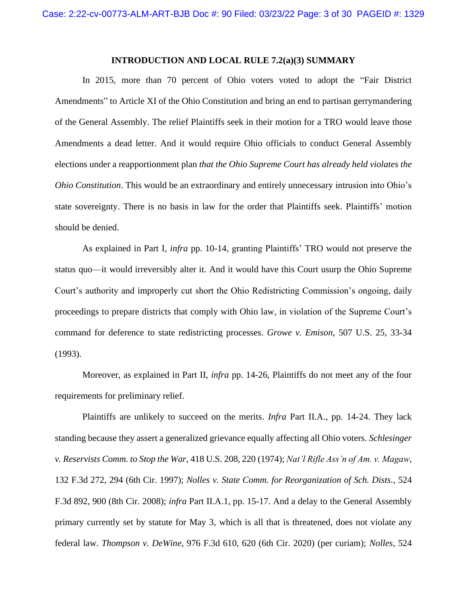#### **INTRODUCTION AND LOCAL RULE 7.2(a)(3) SUMMARY**

<span id="page-2-0"></span>In 2015, more than 70 percent of Ohio voters voted to adopt the "Fair District Amendments" to Article XI of the Ohio Constitution and bring an end to partisan gerrymandering of the General Assembly. The relief Plaintiffs seek in their motion for a TRO would leave those Amendments a dead letter. And it would require Ohio officials to conduct General Assembly elections under a reapportionment plan *that the Ohio Supreme Court has already held violates the Ohio Constitution*. This would be an extraordinary and entirely unnecessary intrusion into Ohio's state sovereignty. There is no basis in law for the order that Plaintiffs seek. Plaintiffs' motion should be denied.

As explained in Part I, *infra* pp. 10-14, granting Plaintiffs' TRO would not preserve the status quo—it would irreversibly alter it. And it would have this Court usurp the Ohio Supreme Court's authority and improperly cut short the Ohio Redistricting Commission's ongoing, daily proceedings to prepare districts that comply with Ohio law, in violation of the Supreme Court's command for deference to state redistricting processes. *Growe v. Emison*, 507 U.S. 25, 33-34 (1993).

Moreover, as explained in Part II, *infra* pp. 14-26, Plaintiffs do not meet any of the four requirements for preliminary relief.

Plaintiffs are unlikely to succeed on the merits. *Infra* Part II.A., pp. 14-24. They lack standing because they assert a generalized grievance equally affecting all Ohio voters. *Schlesinger v. Reservists Comm. to Stop the War*, 418 U.S. 208, 220 (1974); *Nat'l Rifle Ass'n of Am. v. Magaw*, 132 F.3d 272, 294 (6th Cir. 1997); *Nolles v. State Comm. for Reorganization of Sch. Dists.*, 524 F.3d 892, 900 (8th Cir. 2008); *infra* Part II.A.1, pp. 15-17. And a delay to the General Assembly primary currently set by statute for May 3, which is all that is threatened, does not violate any federal law. *Thompson v. DeWine*, 976 F.3d 610, 620 (6th Cir. 2020) (per curiam); *Nolles*, 524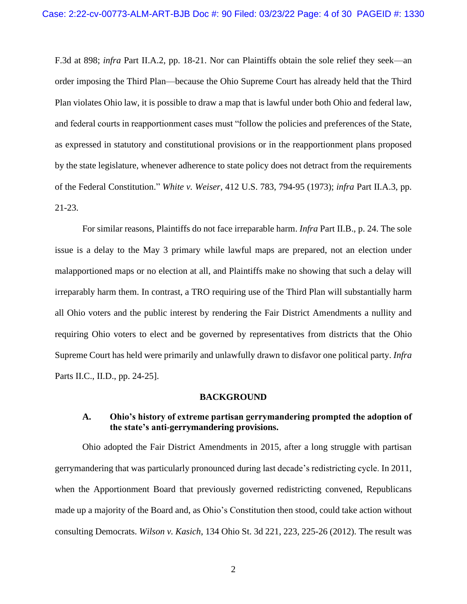F.3d at 898; *infra* Part II.A.2, pp. 18-21. Nor can Plaintiffs obtain the sole relief they seek—an order imposing the Third Plan—because the Ohio Supreme Court has already held that the Third Plan violates Ohio law, it is possible to draw a map that is lawful under both Ohio and federal law, and federal courts in reapportionment cases must "follow the policies and preferences of the State, as expressed in statutory and constitutional provisions or in the reapportionment plans proposed by the state legislature, whenever adherence to state policy does not detract from the requirements of the Federal Constitution." *White v. Weiser*, 412 U.S. 783, 794-95 (1973); *infra* Part II.A.3, pp. 21-23.

For similar reasons, Plaintiffs do not face irreparable harm. *Infra* Part II.B., p. 24. The sole issue is a delay to the May 3 primary while lawful maps are prepared, not an election under malapportioned maps or no election at all, and Plaintiffs make no showing that such a delay will irreparably harm them. In contrast, a TRO requiring use of the Third Plan will substantially harm all Ohio voters and the public interest by rendering the Fair District Amendments a nullity and requiring Ohio voters to elect and be governed by representatives from districts that the Ohio Supreme Court has held were primarily and unlawfully drawn to disfavor one political party. *Infra*  Parts II.C., II.D., pp. 24-25].

#### **BACKGROUND**

## <span id="page-3-1"></span><span id="page-3-0"></span>**A. Ohio's history of extreme partisan gerrymandering prompted the adoption of the state's anti-gerrymandering provisions.**

Ohio adopted the Fair District Amendments in 2015, after a long struggle with partisan gerrymandering that was particularly pronounced during last decade's redistricting cycle. In 2011, when the Apportionment Board that previously governed redistricting convened, Republicans made up a majority of the Board and, as Ohio's Constitution then stood, could take action without consulting Democrats. *Wilson v. Kasich*, 134 Ohio St. 3d 221, 223, 225-26 (2012). The result was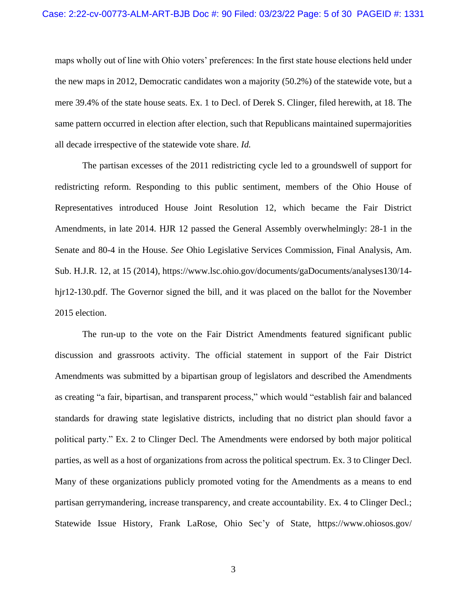maps wholly out of line with Ohio voters' preferences: In the first state house elections held under the new maps in 2012, Democratic candidates won a majority (50.2%) of the statewide vote, but a mere 39.4% of the state house seats. Ex. 1 to Decl. of Derek S. Clinger, filed herewith, at 18. The same pattern occurred in election after election, such that Republicans maintained supermajorities all decade irrespective of the statewide vote share. *Id.*

The partisan excesses of the 2011 redistricting cycle led to a groundswell of support for redistricting reform. Responding to this public sentiment, members of the Ohio House of Representatives introduced House Joint Resolution 12, which became the Fair District Amendments, in late 2014. HJR 12 passed the General Assembly overwhelmingly: 28-1 in the Senate and 80-4 in the House. *See* Ohio Legislative Services Commission, Final Analysis, Am. Sub. H.J.R. 12, at 15 (2014), https://www.lsc.ohio.gov/documents/gaDocuments/analyses130/14 hjr12-130.pdf. The Governor signed the bill, and it was placed on the ballot for the November 2015 election.

The run-up to the vote on the Fair District Amendments featured significant public discussion and grassroots activity. The official statement in support of the Fair District Amendments was submitted by a bipartisan group of legislators and described the Amendments as creating "a fair, bipartisan, and transparent process," which would "establish fair and balanced standards for drawing state legislative districts, including that no district plan should favor a political party." Ex. 2 to Clinger Decl. The Amendments were endorsed by both major political parties, as well as a host of organizations from across the political spectrum. Ex. 3 to Clinger Decl. Many of these organizations publicly promoted voting for the Amendments as a means to end partisan gerrymandering, increase transparency, and create accountability. Ex. 4 to Clinger Decl.; Statewide Issue History, Frank LaRose, Ohio Sec'y of State, https://www.ohiosos.gov/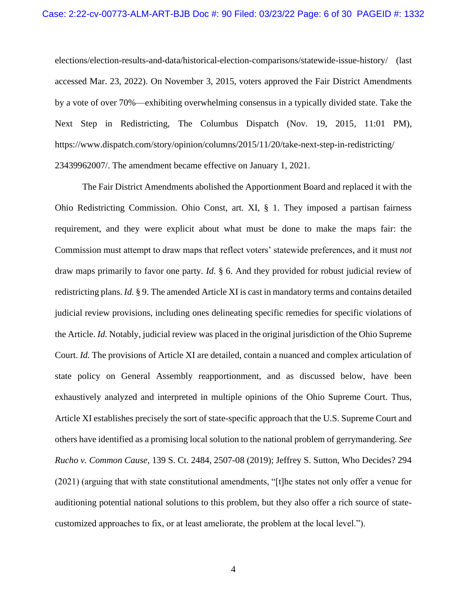elections/election-results-and-data/historical-election-comparisons/statewide-issue-history/ (last accessed Mar. 23, 2022). On November 3, 2015, voters approved the Fair District Amendments by a vote of over 70%—exhibiting overwhelming consensus in a typically divided state. Take the Next Step in Redistricting, The Columbus Dispatch (Nov. 19, 2015, 11:01 PM), https://www.dispatch.com/story/opinion/columns/2015/11/20/take-next-step-in-redistricting/ 23439962007/. The amendment became effective on January 1, 2021.

The Fair District Amendments abolished the Apportionment Board and replaced it with the Ohio Redistricting Commission. Ohio Const, art. XI, § 1. They imposed a partisan fairness requirement, and they were explicit about what must be done to make the maps fair: the Commission must attempt to draw maps that reflect voters' statewide preferences, and it must *not* draw maps primarily to favor one party. *Id.* § 6. And they provided for robust judicial review of redistricting plans. *Id.* § 9. The amended Article XI is cast in mandatory terms and contains detailed judicial review provisions, including ones delineating specific remedies for specific violations of the Article. *Id.* Notably, judicial review was placed in the original jurisdiction of the Ohio Supreme Court. *Id.* The provisions of Article XI are detailed, contain a nuanced and complex articulation of state policy on General Assembly reapportionment, and as discussed below, have been exhaustively analyzed and interpreted in multiple opinions of the Ohio Supreme Court. Thus, Article XI establishes precisely the sort of state-specific approach that the U.S. Supreme Court and others have identified as a promising local solution to the national problem of gerrymandering. *See Rucho v. Common Cause*, 139 S. Ct. 2484, 2507-08 (2019); Jeffrey S. Sutton, Who Decides? 294 (2021) (arguing that with state constitutional amendments, "[t]he states not only offer a venue for auditioning potential national solutions to this problem, but they also offer a rich source of statecustomized approaches to fix, or at least ameliorate, the problem at the local level.").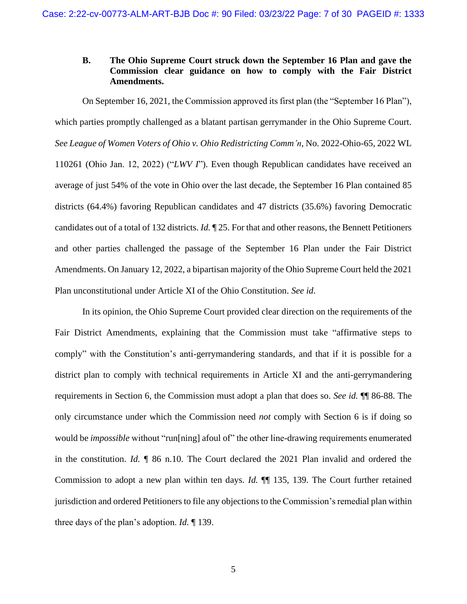## <span id="page-6-0"></span>**B. The Ohio Supreme Court struck down the September 16 Plan and gave the Commission clear guidance on how to comply with the Fair District Amendments.**

On September 16, 2021, the Commission approved its first plan (the "September 16 Plan"), which parties promptly challenged as a blatant partisan gerrymander in the Ohio Supreme Court. *See League of Women Voters of Ohio v. Ohio Redistricting Comm'n*, No. 2022-Ohio-65, 2022 WL 110261 (Ohio Jan. 12, 2022) ("*LWV I*"). Even though Republican candidates have received an average of just 54% of the vote in Ohio over the last decade, the September 16 Plan contained 85 districts (64.4%) favoring Republican candidates and 47 districts (35.6%) favoring Democratic candidates out of a total of 132 districts. *Id.* ¶ 25. For that and other reasons, the Bennett Petitioners and other parties challenged the passage of the September 16 Plan under the Fair District Amendments. On January 12, 2022, a bipartisan majority of the Ohio Supreme Court held the 2021 Plan unconstitutional under Article XI of the Ohio Constitution. *See id*.

In its opinion, the Ohio Supreme Court provided clear direction on the requirements of the Fair District Amendments, explaining that the Commission must take "affirmative steps to comply" with the Constitution's anti-gerrymandering standards, and that if it is possible for a district plan to comply with technical requirements in Article XI and the anti-gerrymandering requirements in Section 6, the Commission must adopt a plan that does so. *See id.* ¶¶ 86-88. The only circumstance under which the Commission need *not* comply with Section 6 is if doing so would be *impossible* without "run[ning] afoul of" the other line-drawing requirements enumerated in the constitution. *Id.* ¶ 86 n.10. The Court declared the 2021 Plan invalid and ordered the Commission to adopt a new plan within ten days. *Id.* ¶¶ 135, 139. The Court further retained jurisdiction and ordered Petitioners to file any objections to the Commission's remedial plan within three days of the plan's adoption. *Id.* ¶ 139.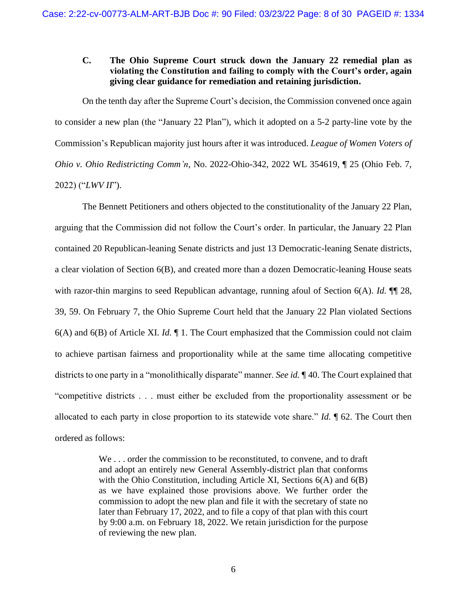## <span id="page-7-0"></span>**C. The Ohio Supreme Court struck down the January 22 remedial plan as violating the Constitution and failing to comply with the Court's order, again giving clear guidance for remediation and retaining jurisdiction.**

On the tenth day after the Supreme Court's decision, the Commission convened once again to consider a new plan (the "January 22 Plan"), which it adopted on a 5-2 party-line vote by the Commission's Republican majority just hours after it was introduced. *League of Women Voters of Ohio v. Ohio Redistricting Comm'n*, No. 2022-Ohio-342, 2022 WL 354619, ¶ 25 (Ohio Feb. 7, 2022) ("*LWV II*").

The Bennett Petitioners and others objected to the constitutionality of the January 22 Plan, arguing that the Commission did not follow the Court's order. In particular, the January 22 Plan contained 20 Republican-leaning Senate districts and just 13 Democratic-leaning Senate districts, a clear violation of Section 6(B), and created more than a dozen Democratic-leaning House seats with razor-thin margins to seed Republican advantage, running afoul of Section 6(A). *Id.*  $\P$  28, 39, 59. On February 7, the Ohio Supreme Court held that the January 22 Plan violated Sections 6(A) and 6(B) of Article XI. *Id.* ¶ 1. The Court emphasized that the Commission could not claim to achieve partisan fairness and proportionality while at the same time allocating competitive districts to one party in a "monolithically disparate" manner. *See id.* ¶ 40. The Court explained that "competitive districts . . . must either be excluded from the proportionality assessment or be allocated to each party in close proportion to its statewide vote share." *Id.* ¶ 62. The Court then ordered as follows:

> We . . . order the commission to be reconstituted, to convene, and to draft and adopt an entirely new General Assembly-district plan that conforms with the Ohio Constitution, including Article XI, Sections 6(A) and 6(B) as we have explained those provisions above. We further order the commission to adopt the new plan and file it with the secretary of state no later than February 17, 2022, and to file a copy of that plan with this court by 9:00 a.m. on February 18, 2022. We retain jurisdiction for the purpose of reviewing the new plan.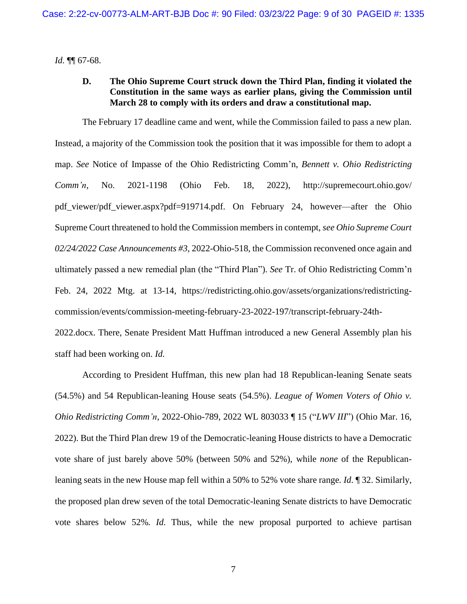<span id="page-8-0"></span>*Id.* ¶¶ 67-68.

### **D. The Ohio Supreme Court struck down the Third Plan, finding it violated the Constitution in the same ways as earlier plans, giving the Commission until March 28 to comply with its orders and draw a constitutional map.**

The February 17 deadline came and went, while the Commission failed to pass a new plan. Instead, a majority of the Commission took the position that it was impossible for them to adopt a map. *See* Notice of Impasse of the Ohio Redistricting Comm'n, *Bennett v. Ohio Redistricting Comm'n,* No. 2021-1198 (Ohio Feb. 18, 2022), http://supremecourt.ohio.gov/ pdf\_viewer/pdf\_viewer.aspx?pdf=919714.pdf. On February 24, however—after the Ohio Supreme Court threatened to hold the Commission members in contempt, *see Ohio Supreme Court 02/24/2022 Case Announcements #3,* 2022-Ohio-518, the Commission reconvened once again and ultimately passed a new remedial plan (the "Third Plan"). *See* Tr. of Ohio Redistricting Comm'n Feb. 24, 2022 Mtg. at 13-14, https://redistricting.ohio.gov/assets/organizations/redistrictingcommission/events/commission-meeting-february-23-2022-197/transcript-february-24th-

2022.docx. There, Senate President Matt Huffman introduced a new General Assembly plan his staff had been working on. *Id.*

According to President Huffman, this new plan had 18 Republican-leaning Senate seats (54.5%) and 54 Republican-leaning House seats (54.5%). *League of Women Voters of Ohio v. Ohio Redistricting Comm'n*, 2022-Ohio-789, 2022 WL 803033 ¶ 15 ("*LWV III*") (Ohio Mar. 16, 2022). But the Third Plan drew 19 of the Democratic-leaning House districts to have a Democratic vote share of just barely above 50% (between 50% and 52%), while *none* of the Republicanleaning seats in the new House map fell within a 50% to 52% vote share range*. Id*. ¶ 32. Similarly, the proposed plan drew seven of the total Democratic-leaning Senate districts to have Democratic vote shares below 52%*. Id.* Thus, while the new proposal purported to achieve partisan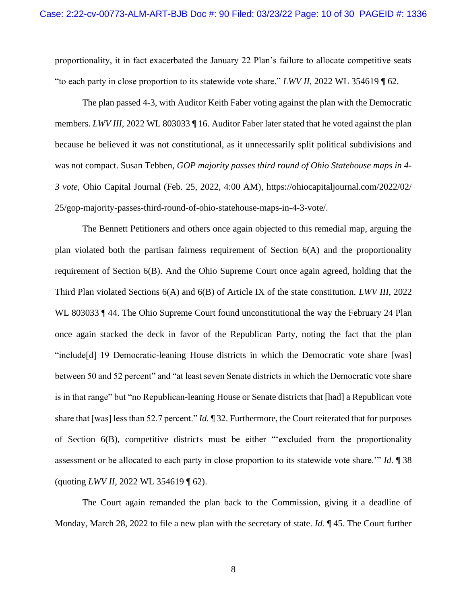proportionality, it in fact exacerbated the January 22 Plan's failure to allocate competitive seats "to each party in close proportion to its statewide vote share." *LWV II*, 2022 WL 354619 ¶ 62.

The plan passed 4-3, with Auditor Keith Faber voting against the plan with the Democratic members. *LWV III*, 2022 WL 803033 ¶ 16. Auditor Faber later stated that he voted against the plan because he believed it was not constitutional, as it unnecessarily split political subdivisions and was not compact. Susan Tebben*, GOP majority passes third round of Ohio Statehouse maps in 4- 3 vote*, Ohio Capital Journal (Feb. 25, 2022, 4:00 AM), https://ohiocapitaljournal.com/2022/02/ 25/gop-majority-passes-third-round-of-ohio-statehouse-maps-in-4-3-vote/.

The Bennett Petitioners and others once again objected to this remedial map, arguing the plan violated both the partisan fairness requirement of Section 6(A) and the proportionality requirement of Section 6(B). And the Ohio Supreme Court once again agreed, holding that the Third Plan violated Sections 6(A) and 6(B) of Article IX of the state constitution. *LWV III*, 2022 WL 803033 ¶ 44. The Ohio Supreme Court found unconstitutional the way the February 24 Plan once again stacked the deck in favor of the Republican Party, noting the fact that the plan "include[d] 19 Democratic-leaning House districts in which the Democratic vote share [was] between 50 and 52 percent" and "at least seven Senate districts in which the Democratic vote share is in that range" but "no Republican-leaning House or Senate districts that [had] a Republican vote share that [was] less than 52.7 percent." *Id.* ¶ 32. Furthermore, the Court reiterated that for purposes of Section 6(B), competitive districts must be either "'excluded from the proportionality assessment or be allocated to each party in close proportion to its statewide vote share.'" *Id.* ¶ 38 (quoting *LWV II*, 2022 WL 354619 ¶ 62).

The Court again remanded the plan back to the Commission, giving it a deadline of Monday, March 28, 2022 to file a new plan with the secretary of state. *Id.* ¶ 45. The Court further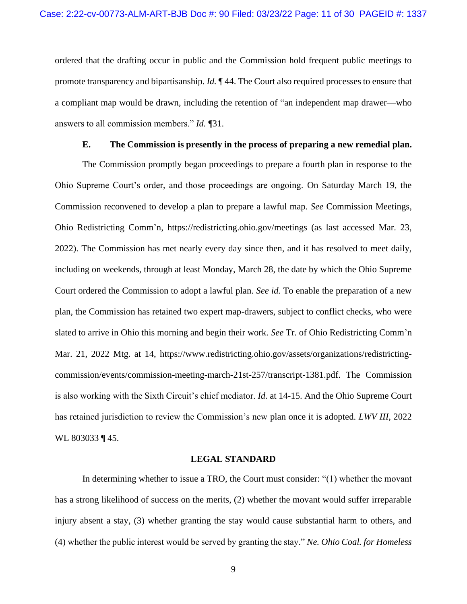ordered that the drafting occur in public and the Commission hold frequent public meetings to promote transparency and bipartisanship. *Id.* ¶ 44. The Court also required processes to ensure that a compliant map would be drawn, including the retention of "an independent map drawer—who answers to all commission members." *Id.* ¶31.

#### **E. The Commission is presently in the process of preparing a new remedial plan.**

<span id="page-10-0"></span>The Commission promptly began proceedings to prepare a fourth plan in response to the Ohio Supreme Court's order, and those proceedings are ongoing. On Saturday March 19, the Commission reconvened to develop a plan to prepare a lawful map. *See* Commission Meetings, Ohio Redistricting Comm'n, https://redistricting.ohio.gov/meetings (as last accessed Mar. 23, 2022). The Commission has met nearly every day since then, and it has resolved to meet daily, including on weekends, through at least Monday, March 28, the date by which the Ohio Supreme Court ordered the Commission to adopt a lawful plan. *See id.* To enable the preparation of a new plan, the Commission has retained two expert map-drawers, subject to conflict checks, who were slated to arrive in Ohio this morning and begin their work. *See* Tr. of Ohio Redistricting Comm'n Mar. 21, 2022 Mtg. at 14, https://www.redistricting.ohio.gov/assets/organizations/redistrictingcommission/events/commission-meeting-march-21st-257/transcript-1381.pdf. The Commission is also working with the Sixth Circuit's chief mediator. *Id.* at 14-15. And the Ohio Supreme Court has retained jurisdiction to review the Commission's new plan once it is adopted. *LWV III*, 2022 WL 803033 ¶ 45.

#### **LEGAL STANDARD**

<span id="page-10-1"></span>In determining whether to issue a TRO, the Court must consider: "(1) whether the movant has a strong likelihood of success on the merits, (2) whether the movant would suffer irreparable injury absent a stay, (3) whether granting the stay would cause substantial harm to others, and (4) whether the public interest would be served by granting the stay." *Ne. Ohio Coal. for Homeless*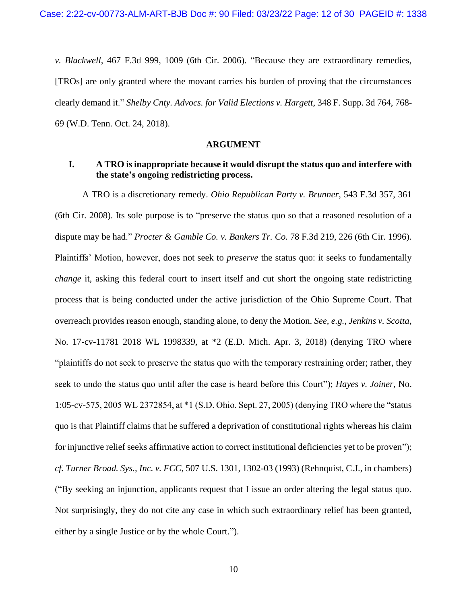*v. Blackwell*, 467 F.3d 999, 1009 (6th Cir. 2006). "Because they are extraordinary remedies, [TROs] are only granted where the movant carries his burden of proving that the circumstances clearly demand it." *Shelby Cnty. Advocs. for Valid Elections v. Hargett*, 348 F. Supp. 3d 764, 768- 69 (W.D. Tenn. Oct. 24, 2018).

#### **ARGUMENT**

### <span id="page-11-1"></span><span id="page-11-0"></span>**I. A TRO is inappropriate because it would disrupt the status quo and interfere with the state's ongoing redistricting process.**

A TRO is a discretionary remedy. *Ohio Republican Party v. Brunner*, 543 F.3d 357, 361 (6th Cir. 2008). Its sole purpose is to "preserve the status quo so that a reasoned resolution of a dispute may be had." *Procter & Gamble Co. v. Bankers Tr. Co.* 78 F.3d 219, 226 (6th Cir. 1996). Plaintiffs' Motion, however, does not seek to *preserve* the status quo: it seeks to fundamentally *change* it, asking this federal court to insert itself and cut short the ongoing state redistricting process that is being conducted under the active jurisdiction of the Ohio Supreme Court. That overreach provides reason enough, standing alone, to deny the Motion. *See, e.g.*, *Jenkins v. Scotta*, No. 17-cv-11781 2018 WL 1998339, at \*2 (E.D. Mich. Apr. 3, 2018) (denying TRO where "plaintiffs do not seek to preserve the status quo with the temporary restraining order; rather, they seek to undo the status quo until after the case is heard before this Court"); *Hayes v. Joiner*, No. 1:05-cv-575, 2005 WL 2372854, at \*1 (S.D. Ohio. Sept. 27, 2005) (denying TRO where the "status quo is that Plaintiff claims that he suffered a deprivation of constitutional rights whereas his claim for injunctive relief seeks affirmative action to correct institutional deficiencies yet to be proven"); *cf. Turner Broad. Sys., Inc. v. FCC*, 507 U.S. 1301, 1302-03 (1993) (Rehnquist, C.J., in chambers) ("By seeking an injunction, applicants request that I issue an order altering the legal status quo. Not surprisingly, they do not cite any case in which such extraordinary relief has been granted, either by a single Justice or by the whole Court.").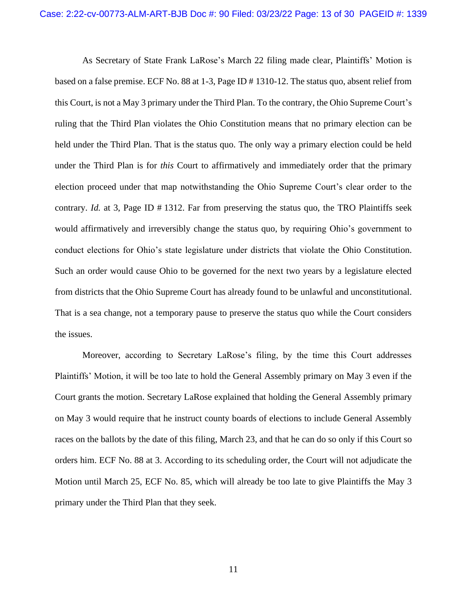As Secretary of State Frank LaRose's March 22 filing made clear, Plaintiffs' Motion is based on a false premise. ECF No. 88 at 1-3, Page ID # 1310-12. The status quo, absent relief from this Court, is not a May 3 primary under the Third Plan. To the contrary, the Ohio Supreme Court's ruling that the Third Plan violates the Ohio Constitution means that no primary election can be held under the Third Plan. That is the status quo. The only way a primary election could be held under the Third Plan is for *this* Court to affirmatively and immediately order that the primary election proceed under that map notwithstanding the Ohio Supreme Court's clear order to the contrary. *Id.* at 3, Page ID # 1312. Far from preserving the status quo, the TRO Plaintiffs seek would affirmatively and irreversibly change the status quo, by requiring Ohio's government to conduct elections for Ohio's state legislature under districts that violate the Ohio Constitution. Such an order would cause Ohio to be governed for the next two years by a legislature elected from districts that the Ohio Supreme Court has already found to be unlawful and unconstitutional. That is a sea change, not a temporary pause to preserve the status quo while the Court considers the issues.

Moreover, according to Secretary LaRose's filing, by the time this Court addresses Plaintiffs' Motion, it will be too late to hold the General Assembly primary on May 3 even if the Court grants the motion. Secretary LaRose explained that holding the General Assembly primary on May 3 would require that he instruct county boards of elections to include General Assembly races on the ballots by the date of this filing, March 23, and that he can do so only if this Court so orders him. ECF No. 88 at 3. According to its scheduling order, the Court will not adjudicate the Motion until March 25, ECF No. 85, which will already be too late to give Plaintiffs the May 3 primary under the Third Plan that they seek.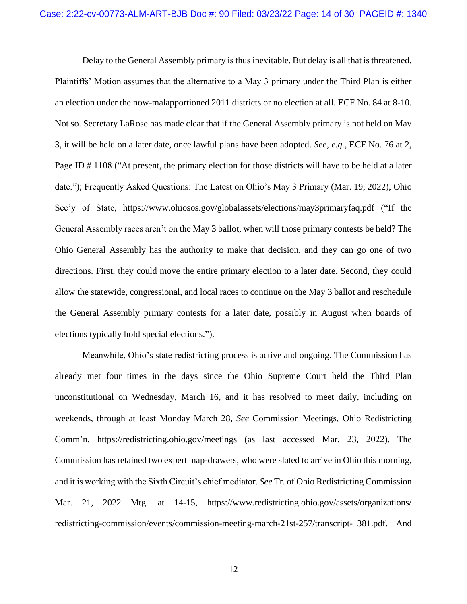Delay to the General Assembly primary is thus inevitable. But delay is all that is threatened. Plaintiffs' Motion assumes that the alternative to a May 3 primary under the Third Plan is either an election under the now-malapportioned 2011 districts or no election at all. ECF No. 84 at 8-10. Not so. Secretary LaRose has made clear that if the General Assembly primary is not held on May 3, it will be held on a later date, once lawful plans have been adopted. *See, e.g.*, ECF No. 76 at 2, Page ID  $\#$  1108 ("At present, the primary election for those districts will have to be held at a later date."); Frequently Asked Questions: The Latest on Ohio's May 3 Primary (Mar. 19, 2022), Ohio Sec'y of State, https://www.ohiosos.gov/globalassets/elections/may3primaryfaq.pdf ("If the General Assembly races aren't on the May 3 ballot, when will those primary contests be held? The Ohio General Assembly has the authority to make that decision, and they can go one of two directions. First, they could move the entire primary election to a later date. Second, they could allow the statewide, congressional, and local races to continue on the May 3 ballot and reschedule the General Assembly primary contests for a later date, possibly in August when boards of elections typically hold special elections.").

Meanwhile, Ohio's state redistricting process is active and ongoing. The Commission has already met four times in the days since the Ohio Supreme Court held the Third Plan unconstitutional on Wednesday, March 16, and it has resolved to meet daily, including on weekends, through at least Monday March 28, *See* Commission Meetings, Ohio Redistricting Comm'n, https://redistricting.ohio.gov/meetings (as last accessed Mar. 23, 2022). The Commission has retained two expert map-drawers, who were slated to arrive in Ohio this morning, and it is working with the Sixth Circuit's chief mediator. *See* Tr. of Ohio Redistricting Commission Mar. 21, 2022 Mtg. at 14-15, https://www.redistricting.ohio.gov/assets/organizations/ redistricting-commission/events/commission-meeting-march-21st-257/transcript-1381.pdf. And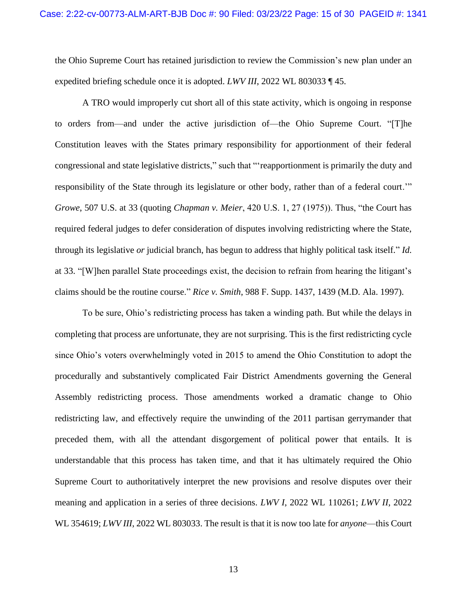the Ohio Supreme Court has retained jurisdiction to review the Commission's new plan under an expedited briefing schedule once it is adopted. *LWV III*, 2022 WL 803033 ¶ 45.

A TRO would improperly cut short all of this state activity, which is ongoing in response to orders from—and under the active jurisdiction of—the Ohio Supreme Court. "[T]he Constitution leaves with the States primary responsibility for apportionment of their federal congressional and state legislative districts," such that "'reapportionment is primarily the duty and responsibility of the State through its legislature or other body, rather than of a federal court.'" *Growe*, 507 U.S. at 33 (quoting *Chapman v. Meier*, 420 U.S. 1, 27 (1975)). Thus, "the Court has required federal judges to defer consideration of disputes involving redistricting where the State, through its legislative *or* judicial branch, has begun to address that highly political task itself." *Id.*  at 33. "[W]hen parallel State proceedings exist, the decision to refrain from hearing the litigant's claims should be the routine course." *Rice v. Smith*, 988 F. Supp. 1437, 1439 (M.D. Ala. 1997).

To be sure, Ohio's redistricting process has taken a winding path. But while the delays in completing that process are unfortunate, they are not surprising. This is the first redistricting cycle since Ohio's voters overwhelmingly voted in 2015 to amend the Ohio Constitution to adopt the procedurally and substantively complicated Fair District Amendments governing the General Assembly redistricting process. Those amendments worked a dramatic change to Ohio redistricting law, and effectively require the unwinding of the 2011 partisan gerrymander that preceded them, with all the attendant disgorgement of political power that entails. It is understandable that this process has taken time, and that it has ultimately required the Ohio Supreme Court to authoritatively interpret the new provisions and resolve disputes over their meaning and application in a series of three decisions. *LWV I*, 2022 WL 110261; *LWV II*, 2022 WL 354619; *LWV III*, 2022 WL 803033. The result is that it is now too late for *anyone*—this Court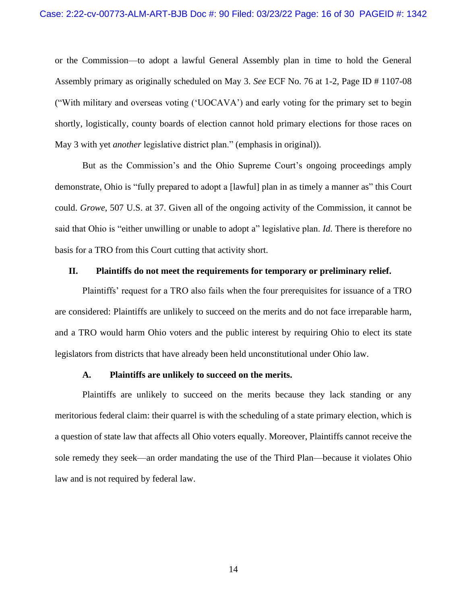or the Commission—to adopt a lawful General Assembly plan in time to hold the General Assembly primary as originally scheduled on May 3. *See* ECF No. 76 at 1-2, Page ID # 1107-08 ("With military and overseas voting ('UOCAVA') and early voting for the primary set to begin shortly, logistically, county boards of election cannot hold primary elections for those races on May 3 with yet *another* legislative district plan." (emphasis in original)).

But as the Commission's and the Ohio Supreme Court's ongoing proceedings amply demonstrate, Ohio is "fully prepared to adopt a [lawful] plan in as timely a manner as" this Court could. *Growe*, 507 U.S. at 37. Given all of the ongoing activity of the Commission, it cannot be said that Ohio is "either unwilling or unable to adopt a" legislative plan. *Id*. There is therefore no basis for a TRO from this Court cutting that activity short.

#### <span id="page-15-0"></span>**II. Plaintiffs do not meet the requirements for temporary or preliminary relief.**

Plaintiffs' request for a TRO also fails when the four prerequisites for issuance of a TRO are considered: Plaintiffs are unlikely to succeed on the merits and do not face irreparable harm, and a TRO would harm Ohio voters and the public interest by requiring Ohio to elect its state legislators from districts that have already been held unconstitutional under Ohio law.

#### **A. Plaintiffs are unlikely to succeed on the merits.**

<span id="page-15-1"></span>Plaintiffs are unlikely to succeed on the merits because they lack standing or any meritorious federal claim: their quarrel is with the scheduling of a state primary election, which is a question of state law that affects all Ohio voters equally. Moreover, Plaintiffs cannot receive the sole remedy they seek—an order mandating the use of the Third Plan—because it violates Ohio law and is not required by federal law.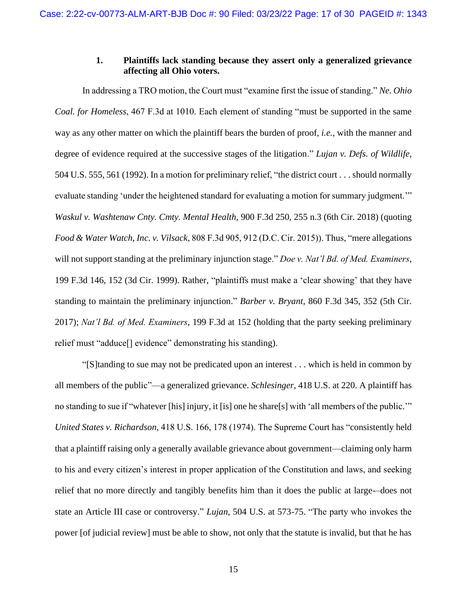#### **1. Plaintiffs lack standing because they assert only a generalized grievance affecting all Ohio voters.**

<span id="page-16-0"></span>In addressing a TRO motion, the Court must "examine first the issue of standing." *Ne. Ohio Coal. for Homeless*, 467 F.3d at 1010. Each element of standing "must be supported in the same way as any other matter on which the plaintiff bears the burden of proof, *i.e.*, with the manner and degree of evidence required at the successive stages of the litigation." *Lujan v. Defs. of Wildlife*, 504 U.S. 555, 561 (1992). In a motion for preliminary relief, "the district court . . . should normally evaluate standing 'under the heightened standard for evaluating a motion for summary judgment.'" *Waskul v. Washtenaw Cnty. Cmty. Mental Health*, 900 F.3d 250, 255 n.3 (6th Cir. 2018) (quoting *Food & Water Watch, Inc. v. Vilsack*, 808 F.3d 905, 912 (D.C. Cir. 2015)). Thus, "mere allegations will not support standing at the preliminary injunction stage." *Doe v. Nat'l Bd. of Med. Examiners*, 199 F.3d 146, 152 (3d Cir. 1999). Rather, "plaintiffs must make a 'clear showing' that they have standing to maintain the preliminary injunction." *Barber v. Bryant*, 860 F.3d 345, 352 (5th Cir. 2017); *Nat'l Bd. of Med. Examiners*, 199 F.3d at 152 (holding that the party seeking preliminary relief must "adduce[] evidence" demonstrating his standing).

"[S]tanding to sue may not be predicated upon an interest . . . which is held in common by all members of the public"—a generalized grievance. *Schlesinger*, 418 U.S. at 220. A plaintiff has no standing to sue if "whatever [his] injury, it [is] one he share[s] with 'all members of the public.'" *United States v. Richardson*, 418 U.S. 166, 178 (1974). The Supreme Court has "consistently held that a plaintiff raising only a generally available grievance about government—claiming only harm to his and every citizen's interest in proper application of the Constitution and laws, and seeking relief that no more directly and tangibly benefits him than it does the public at large-–does not state an Article III case or controversy." *Lujan*, 504 U.S. at 573-75. "The party who invokes the power [of judicial review] must be able to show, not only that the statute is invalid, but that he has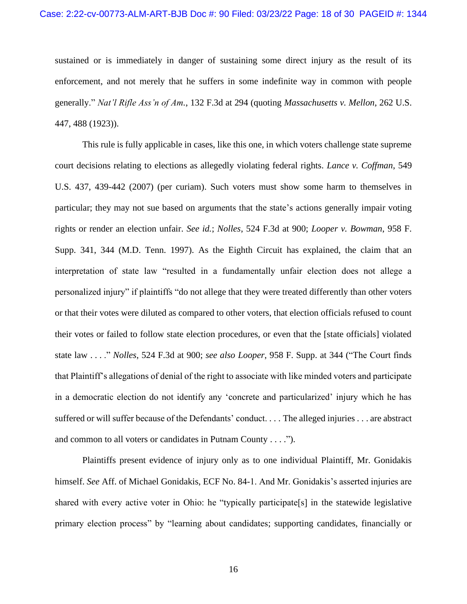sustained or is immediately in danger of sustaining some direct injury as the result of its enforcement, and not merely that he suffers in some indefinite way in common with people generally." *Nat'l Rifle Ass'n of Am.*, 132 F.3d at 294 (quoting *Massachusetts v. Mellon*, 262 U.S. 447, 488 (1923)).

This rule is fully applicable in cases, like this one, in which voters challenge state supreme court decisions relating to elections as allegedly violating federal rights. *Lance v. Coffman*, 549 U.S. 437, 439-442 (2007) (per curiam). Such voters must show some harm to themselves in particular; they may not sue based on arguments that the state's actions generally impair voting rights or render an election unfair. *See id.*; *Nolles*, 524 F.3d at 900; *Looper v. Bowman*, 958 F. Supp. 341, 344 (M.D. Tenn. 1997). As the Eighth Circuit has explained, the claim that an interpretation of state law "resulted in a fundamentally unfair election does not allege a personalized injury" if plaintiffs "do not allege that they were treated differently than other voters or that their votes were diluted as compared to other voters, that election officials refused to count their votes or failed to follow state election procedures, or even that the [state officials] violated state law . . . ." *Nolles*, 524 F.3d at 900; *see also Looper*, 958 F. Supp. at 344 ("The Court finds that Plaintiff's allegations of denial of the right to associate with like minded voters and participate in a democratic election do not identify any 'concrete and particularized' injury which he has suffered or will suffer because of the Defendants' conduct. . . . The alleged injuries . . . are abstract and common to all voters or candidates in Putnam County . . . .").

Plaintiffs present evidence of injury only as to one individual Plaintiff, Mr. Gonidakis himself. *See* Aff. of Michael Gonidakis, ECF No. 84-1. And Mr. Gonidakis's asserted injuries are shared with every active voter in Ohio: he "typically participate[s] in the statewide legislative primary election process" by "learning about candidates; supporting candidates, financially or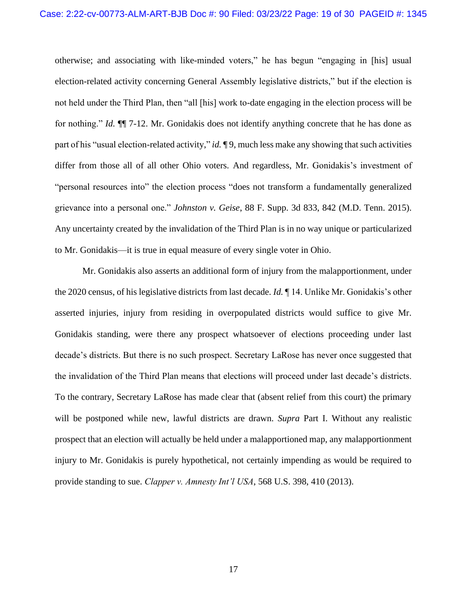otherwise; and associating with like-minded voters," he has begun "engaging in [his] usual election-related activity concerning General Assembly legislative districts," but if the election is not held under the Third Plan, then "all [his] work to-date engaging in the election process will be for nothing." *Id.* ¶¶ 7-12. Mr. Gonidakis does not identify anything concrete that he has done as part of his "usual election-related activity," *id.* ¶ 9, much less make any showing that such activities differ from those all of all other Ohio voters. And regardless, Mr. Gonidakis's investment of "personal resources into" the election process "does not transform a fundamentally generalized grievance into a personal one." *Johnston v. Geise*, 88 F. Supp. 3d 833, 842 (M.D. Tenn. 2015). Any uncertainty created by the invalidation of the Third Plan is in no way unique or particularized to Mr. Gonidakis—it is true in equal measure of every single voter in Ohio.

Mr. Gonidakis also asserts an additional form of injury from the malapportionment, under the 2020 census, of his legislative districts from last decade. *Id.* ¶ 14. Unlike Mr. Gonidakis's other asserted injuries, injury from residing in overpopulated districts would suffice to give Mr. Gonidakis standing, were there any prospect whatsoever of elections proceeding under last decade's districts. But there is no such prospect. Secretary LaRose has never once suggested that the invalidation of the Third Plan means that elections will proceed under last decade's districts. To the contrary, Secretary LaRose has made clear that (absent relief from this court) the primary will be postponed while new, lawful districts are drawn. *Supra* Part I. Without any realistic prospect that an election will actually be held under a malapportioned map, any malapportionment injury to Mr. Gonidakis is purely hypothetical, not certainly impending as would be required to provide standing to sue. *Clapper v. Amnesty Int'l USA*, 568 U.S. 398, 410 (2013).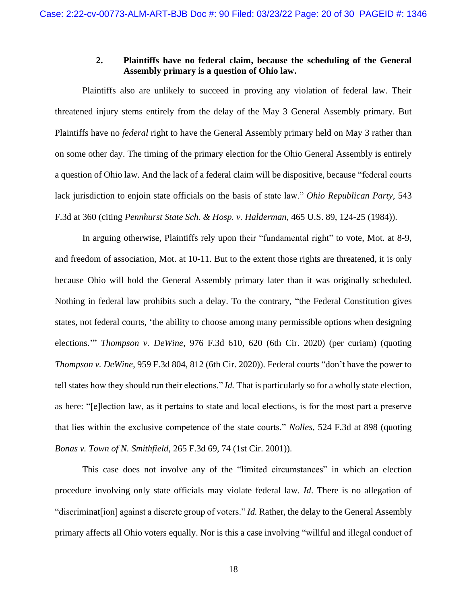### **2. Plaintiffs have no federal claim, because the scheduling of the General Assembly primary is a question of Ohio law.**

<span id="page-19-0"></span>Plaintiffs also are unlikely to succeed in proving any violation of federal law. Their threatened injury stems entirely from the delay of the May 3 General Assembly primary. But Plaintiffs have no *federal* right to have the General Assembly primary held on May 3 rather than on some other day. The timing of the primary election for the Ohio General Assembly is entirely a question of Ohio law. And the lack of a federal claim will be dispositive, because "federal courts lack jurisdiction to enjoin state officials on the basis of state law." *Ohio Republican Party,* 543 F.3d at 360 (citing *Pennhurst State Sch. & Hosp. v. Halderman*, 465 U.S. 89, 124-25 (1984)).

In arguing otherwise, Plaintiffs rely upon their "fundamental right" to vote, Mot. at 8-9, and freedom of association, Mot. at 10-11. But to the extent those rights are threatened, it is only because Ohio will hold the General Assembly primary later than it was originally scheduled. Nothing in federal law prohibits such a delay. To the contrary, "the Federal Constitution gives states, not federal courts, 'the ability to choose among many permissible options when designing elections.'" *Thompson v. DeWine*, 976 F.3d 610, 620 (6th Cir. 2020) (per curiam) (quoting *Thompson v. DeWine*, 959 F.3d 804, 812 (6th Cir. 2020)). Federal courts "don't have the power to tell states how they should run their elections." *Id.* That is particularly so for a wholly state election, as here: "[e]lection law, as it pertains to state and local elections, is for the most part a preserve that lies within the exclusive competence of the state courts." *Nolles*, 524 F.3d at 898 (quoting *Bonas v. Town of N. Smithfield*, 265 F.3d 69, 74 (1st Cir. 2001)).

This case does not involve any of the "limited circumstances" in which an election procedure involving only state officials may violate federal law. *Id*. There is no allegation of "discriminat[ion] against a discrete group of voters." *Id.* Rather, the delay to the General Assembly primary affects all Ohio voters equally. Nor is this a case involving "willful and illegal conduct of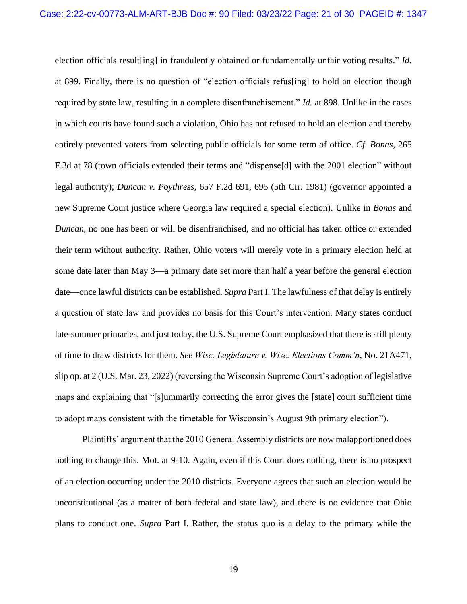election officials result[ing] in fraudulently obtained or fundamentally unfair voting results." *Id.* at 899. Finally, there is no question of "election officials refus[ing] to hold an election though required by state law, resulting in a complete disenfranchisement." *Id.* at 898. Unlike in the cases in which courts have found such a violation, Ohio has not refused to hold an election and thereby entirely prevented voters from selecting public officials for some term of office. *Cf. Bonas*, 265 F.3d at 78 (town officials extended their terms and "dispense[d] with the 2001 election" without legal authority); *Duncan v. Poythress*, 657 F.2d 691, 695 (5th Cir. 1981) (governor appointed a new Supreme Court justice where Georgia law required a special election). Unlike in *Bonas* and *Duncan*, no one has been or will be disenfranchised, and no official has taken office or extended their term without authority. Rather, Ohio voters will merely vote in a primary election held at some date later than May 3—a primary date set more than half a year before the general election date—once lawful districts can be established. *Supra* Part I. The lawfulness of that delay is entirely a question of state law and provides no basis for this Court's intervention. Many states conduct late-summer primaries, and just today, the U.S. Supreme Court emphasized that there is still plenty of time to draw districts for them. *See Wisc. Legislature v. Wisc. Elections Comm'n*, No. 21A471, slip op. at 2 (U.S. Mar. 23, 2022) (reversing the Wisconsin Supreme Court's adoption of legislative maps and explaining that "[s]ummarily correcting the error gives the [state] court sufficient time to adopt maps consistent with the timetable for Wisconsin's August 9th primary election").

Plaintiffs' argument that the 2010 General Assembly districts are now malapportioned does nothing to change this. Mot. at 9-10. Again, even if this Court does nothing, there is no prospect of an election occurring under the 2010 districts. Everyone agrees that such an election would be unconstitutional (as a matter of both federal and state law), and there is no evidence that Ohio plans to conduct one. *Supra* Part I. Rather, the status quo is a delay to the primary while the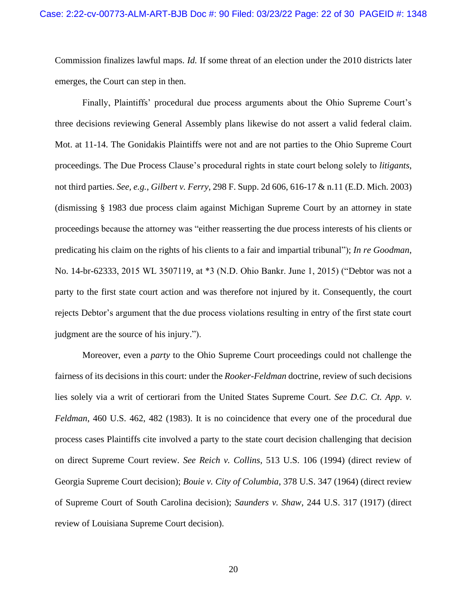Commission finalizes lawful maps. *Id.* If some threat of an election under the 2010 districts later emerges, the Court can step in then.

Finally, Plaintiffs' procedural due process arguments about the Ohio Supreme Court's three decisions reviewing General Assembly plans likewise do not assert a valid federal claim. Mot. at 11-14. The Gonidakis Plaintiffs were not and are not parties to the Ohio Supreme Court proceedings. The Due Process Clause's procedural rights in state court belong solely to *litigants*, not third parties. *See, e.g.*, *Gilbert v. Ferry*, 298 F. Supp. 2d 606, 616-17 & n.11 (E.D. Mich. 2003) (dismissing § 1983 due process claim against Michigan Supreme Court by an attorney in state proceedings because the attorney was "either reasserting the due process interests of his clients or predicating his claim on the rights of his clients to a fair and impartial tribunal"); *In re Goodman*, No. 14-br-62333, 2015 WL 3507119, at \*3 (N.D. Ohio Bankr. June 1, 2015) ("Debtor was not a party to the first state court action and was therefore not injured by it. Consequently, the court rejects Debtor's argument that the due process violations resulting in entry of the first state court judgment are the source of his injury.").

Moreover, even a *party* to the Ohio Supreme Court proceedings could not challenge the fairness of its decisions in this court: under the *Rooker-Feldman* doctrine, review of such decisions lies solely via a writ of certiorari from the United States Supreme Court. *See D.C. Ct. App. v. Feldman*, 460 U.S. 462, 482 (1983). It is no coincidence that every one of the procedural due process cases Plaintiffs cite involved a party to the state court decision challenging that decision on direct Supreme Court review. *See Reich v. Collins*, 513 U.S. 106 (1994) (direct review of Georgia Supreme Court decision); *Bouie v. City of Columbia*, 378 U.S. 347 (1964) (direct review of Supreme Court of South Carolina decision); *Saunders v. Shaw*, 244 U.S. 317 (1917) (direct review of Louisiana Supreme Court decision).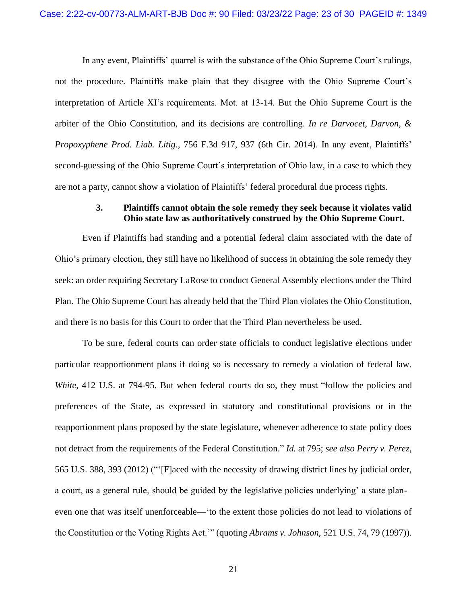In any event, Plaintiffs' quarrel is with the substance of the Ohio Supreme Court's rulings, not the procedure. Plaintiffs make plain that they disagree with the Ohio Supreme Court's interpretation of Article XI's requirements. Mot. at 13-14. But the Ohio Supreme Court is the arbiter of the Ohio Constitution, and its decisions are controlling. *In re Darvocet, Darvon, & Propoxyphene Prod. Liab. Litig*., 756 F.3d 917, 937 (6th Cir. 2014). In any event, Plaintiffs' second-guessing of the Ohio Supreme Court's interpretation of Ohio law, in a case to which they are not a party, cannot show a violation of Plaintiffs' federal procedural due process rights.

#### **3. Plaintiffs cannot obtain the sole remedy they seek because it violates valid Ohio state law as authoritatively construed by the Ohio Supreme Court.**

<span id="page-22-0"></span>Even if Plaintiffs had standing and a potential federal claim associated with the date of Ohio's primary election, they still have no likelihood of success in obtaining the sole remedy they seek: an order requiring Secretary LaRose to conduct General Assembly elections under the Third Plan. The Ohio Supreme Court has already held that the Third Plan violates the Ohio Constitution, and there is no basis for this Court to order that the Third Plan nevertheless be used.

To be sure, federal courts can order state officials to conduct legislative elections under particular reapportionment plans if doing so is necessary to remedy a violation of federal law. *White*, 412 U.S. at 794-95. But when federal courts do so, they must "follow the policies and preferences of the State, as expressed in statutory and constitutional provisions or in the reapportionment plans proposed by the state legislature, whenever adherence to state policy does not detract from the requirements of the Federal Constitution." *Id.* at 795; *see also Perry v. Perez*, 565 U.S. 388, 393 (2012) ("'[F]aced with the necessity of drawing district lines by judicial order, a court, as a general rule, should be guided by the legislative policies underlying' a state plan-– even one that was itself unenforceable—'to the extent those policies do not lead to violations of the Constitution or the Voting Rights Act.'" (quoting *Abrams v. Johnson*, 521 U.S. 74, 79 (1997)).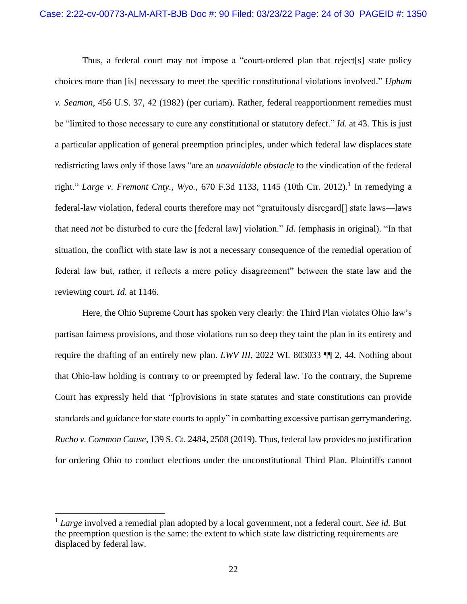Thus, a federal court may not impose a "court-ordered plan that reject[s] state policy choices more than [is] necessary to meet the specific constitutional violations involved." *Upham v. Seamon*, 456 U.S. 37, 42 (1982) (per curiam). Rather, federal reapportionment remedies must be "limited to those necessary to cure any constitutional or statutory defect." *Id.* at 43. This is just a particular application of general preemption principles, under which federal law displaces state redistricting laws only if those laws "are an *unavoidable obstacle* to the vindication of the federal right." *Large v. Fremont Cnty., Wyo., 670 F.3d 1133, 1145 (10th Cir. 2012)*.<sup>1</sup> In remedying a federal-law violation, federal courts therefore may not "gratuitously disregard[] state laws—laws that need *not* be disturbed to cure the [federal law] violation." *Id.* (emphasis in original). "In that situation, the conflict with state law is not a necessary consequence of the remedial operation of federal law but, rather, it reflects a mere policy disagreement" between the state law and the reviewing court. *Id.* at 1146.

Here, the Ohio Supreme Court has spoken very clearly: the Third Plan violates Ohio law's partisan fairness provisions, and those violations run so deep they taint the plan in its entirety and require the drafting of an entirely new plan. *LWV III*, 2022 WL 803033 ¶¶ 2, 44. Nothing about that Ohio-law holding is contrary to or preempted by federal law. To the contrary, the Supreme Court has expressly held that "[p]rovisions in state statutes and state constitutions can provide standards and guidance for state courts to apply" in combatting excessive partisan gerrymandering. *Rucho v. Common Cause*, 139 S. Ct. 2484, 2508 (2019). Thus, federal law provides no justification for ordering Ohio to conduct elections under the unconstitutional Third Plan. Plaintiffs cannot

<sup>1</sup> *Large* involved a remedial plan adopted by a local government, not a federal court. *See id.* But the preemption question is the same: the extent to which state law districting requirements are displaced by federal law.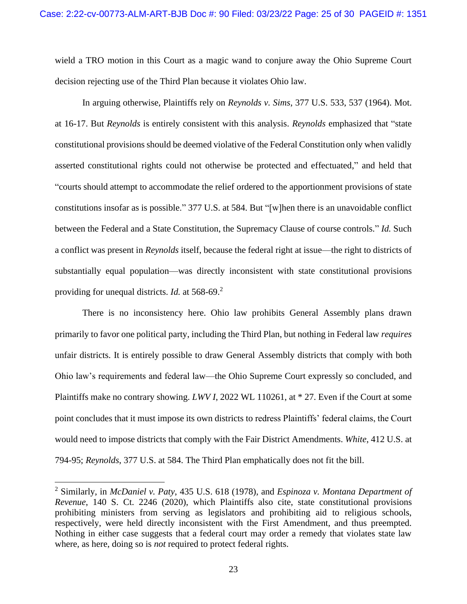wield a TRO motion in this Court as a magic wand to conjure away the Ohio Supreme Court decision rejecting use of the Third Plan because it violates Ohio law.

In arguing otherwise, Plaintiffs rely on *Reynolds v. Sims*, 377 U.S. 533, 537 (1964). Mot. at 16-17. But *Reynolds* is entirely consistent with this analysis. *Reynolds* emphasized that "state constitutional provisions should be deemed violative of the Federal Constitution only when validly asserted constitutional rights could not otherwise be protected and effectuated," and held that "courts should attempt to accommodate the relief ordered to the apportionment provisions of state constitutions insofar as is possible." 377 U.S. at 584. But "[w]hen there is an unavoidable conflict between the Federal and a State Constitution, the Supremacy Clause of course controls." *Id.* Such a conflict was present in *Reynolds* itself, because the federal right at issue—the right to districts of substantially equal population—was directly inconsistent with state constitutional provisions providing for unequal districts. *Id.* at 568-69.<sup>2</sup>

There is no inconsistency here. Ohio law prohibits General Assembly plans drawn primarily to favor one political party, including the Third Plan, but nothing in Federal law *requires* unfair districts. It is entirely possible to draw General Assembly districts that comply with both Ohio law's requirements and federal law—the Ohio Supreme Court expressly so concluded, and Plaintiffs make no contrary showing. *LWV I*, 2022 WL 110261, at \* 27. Even if the Court at some point concludes that it must impose its own districts to redress Plaintiffs' federal claims, the Court would need to impose districts that comply with the Fair District Amendments. *White*, 412 U.S. at 794-95; *Reynolds*, 377 U.S. at 584. The Third Plan emphatically does not fit the bill.

<sup>2</sup> Similarly, in *McDaniel v. Paty*, 435 U.S. 618 (1978), and *Espinoza v. Montana Department of Revenue*, 140 S. Ct. 2246 (2020), which Plaintiffs also cite, state constitutional provisions prohibiting ministers from serving as legislators and prohibiting aid to religious schools, respectively, were held directly inconsistent with the First Amendment, and thus preempted. Nothing in either case suggests that a federal court may order a remedy that violates state law where, as here, doing so is *not* required to protect federal rights.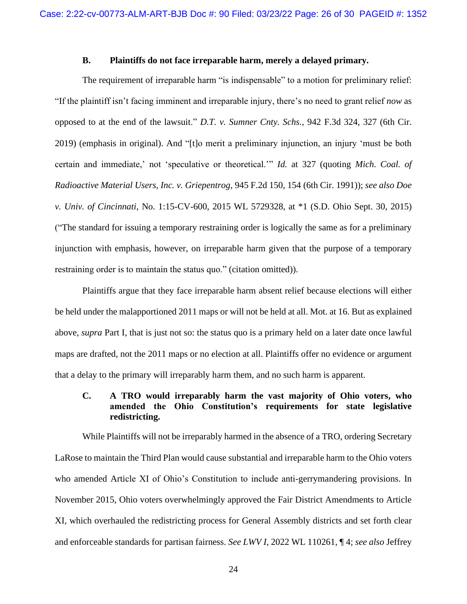#### **B. Plaintiffs do not face irreparable harm, merely a delayed primary.**

<span id="page-25-0"></span>The requirement of irreparable harm "is indispensable" to a motion for preliminary relief: "If the plaintiff isn't facing imminent and irreparable injury, there's no need to grant relief *now* as opposed to at the end of the lawsuit." *D.T. v. Sumner Cnty. Schs.*, 942 F.3d 324, 327 (6th Cir. 2019) (emphasis in original). And "[t]o merit a preliminary injunction, an injury 'must be both certain and immediate,' not 'speculative or theoretical.'" *Id.* at 327 (quoting *Mich. Coal. of Radioactive Material Users, Inc. v. Griepentrog*, 945 F.2d 150, 154 (6th Cir. 1991)); *see also Doe v. Univ. of Cincinnati*, No. 1:15-CV-600, 2015 WL 5729328, at \*1 (S.D. Ohio Sept. 30, 2015) ("The standard for issuing a temporary restraining order is logically the same as for a preliminary injunction with emphasis, however, on irreparable harm given that the purpose of a temporary restraining order is to maintain the status quo." (citation omitted)).

Plaintiffs argue that they face irreparable harm absent relief because elections will either be held under the malapportioned 2011 maps or will not be held at all. Mot. at 16. But as explained above, *supra* Part I, that is just not so: the status quo is a primary held on a later date once lawful maps are drafted, not the 2011 maps or no election at all. Plaintiffs offer no evidence or argument that a delay to the primary will irreparably harm them, and no such harm is apparent.

## <span id="page-25-1"></span>**C. A TRO would irreparably harm the vast majority of Ohio voters, who amended the Ohio Constitution's requirements for state legislative redistricting.**

While Plaintiffs will not be irreparably harmed in the absence of a TRO, ordering Secretary LaRose to maintain the Third Plan would cause substantial and irreparable harm to the Ohio voters who amended Article XI of Ohio's Constitution to include anti-gerrymandering provisions. In November 2015, Ohio voters overwhelmingly approved the Fair District Amendments to Article XI, which overhauled the redistricting process for General Assembly districts and set forth clear and enforceable standards for partisan fairness. *See LWV I*, 2022 WL 110261, ¶ 4; *see also* Jeffrey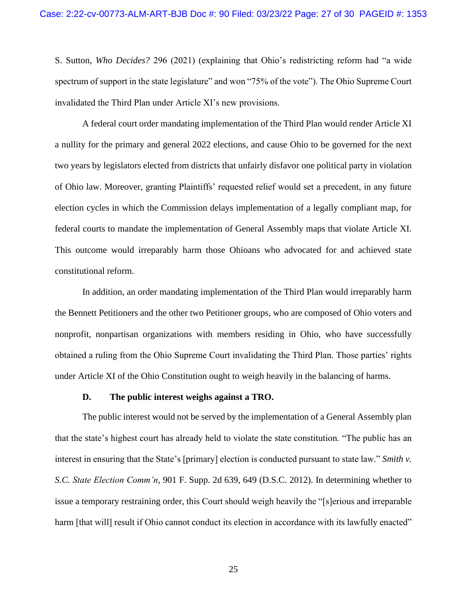S. Sutton, *Who Decides?* 296 (2021) (explaining that Ohio's redistricting reform had "a wide spectrum of support in the state legislature" and won "75% of the vote"). The Ohio Supreme Court invalidated the Third Plan under Article XI's new provisions.

A federal court order mandating implementation of the Third Plan would render Article XI a nullity for the primary and general 2022 elections, and cause Ohio to be governed for the next two years by legislators elected from districts that unfairly disfavor one political party in violation of Ohio law. Moreover, granting Plaintiffs' requested relief would set a precedent, in any future election cycles in which the Commission delays implementation of a legally compliant map, for federal courts to mandate the implementation of General Assembly maps that violate Article XI. This outcome would irreparably harm those Ohioans who advocated for and achieved state constitutional reform.

In addition, an order mandating implementation of the Third Plan would irreparably harm the Bennett Petitioners and the other two Petitioner groups, who are composed of Ohio voters and nonprofit, nonpartisan organizations with members residing in Ohio, who have successfully obtained a ruling from the Ohio Supreme Court invalidating the Third Plan. Those parties' rights under Article XI of the Ohio Constitution ought to weigh heavily in the balancing of harms.

#### **D. The public interest weighs against a TRO.**

<span id="page-26-0"></span>The public interest would not be served by the implementation of a General Assembly plan that the state's highest court has already held to violate the state constitution. "The public has an interest in ensuring that the State's [primary] election is conducted pursuant to state law." *Smith v. S.C. State Election Comm'n*, 901 F. Supp. 2d 639, 649 (D.S.C. 2012). In determining whether to issue a temporary restraining order, this Court should weigh heavily the "[s]erious and irreparable harm [that will] result if Ohio cannot conduct its election in accordance with its lawfully enacted"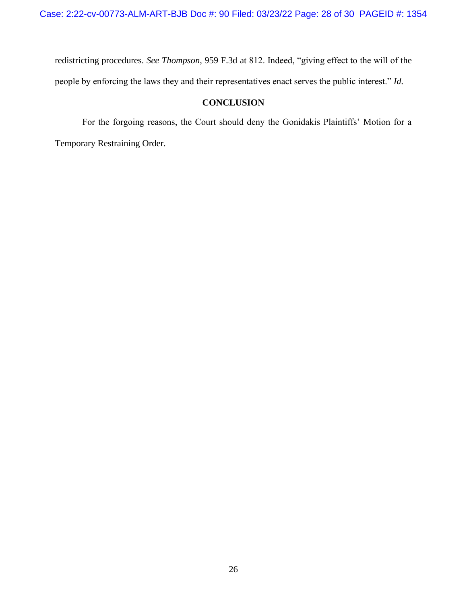redistricting procedures. *See Thompson*, 959 F.3d at 812. Indeed, "giving effect to the will of the people by enforcing the laws they and their representatives enact serves the public interest." *Id.*

## **CONCLUSION**

<span id="page-27-0"></span>For the forgoing reasons, the Court should deny the Gonidakis Plaintiffs' Motion for a Temporary Restraining Order.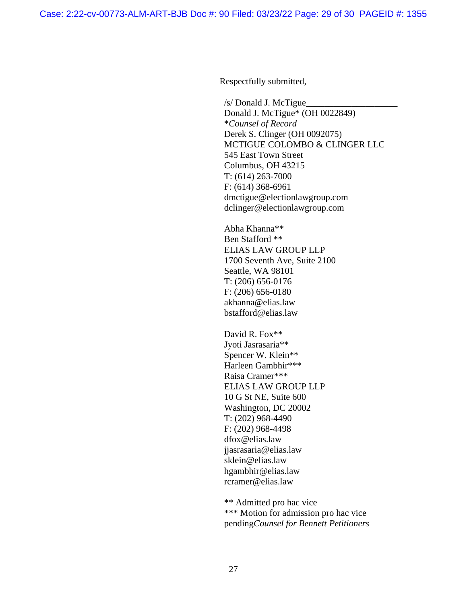Respectfully submitted,

/s/ Donald J. McTigue\_\_\_\_\_\_\_\_\_\_\_\_\_\_\_\_\_\_\_\_ Donald J. McTigue\* (OH 0022849) \**Counsel of Record*  Derek S. Clinger (OH 0092075) MCTIGUE COLOMBO & CLINGER LLC 545 East Town Street Columbus, OH 43215 T: (614) 263-7000 F: (614) 368-6961 dmctigue@electionlawgroup.com dclinger@electionlawgroup.com

Abha Khanna\*\* Ben Stafford \*\* ELIAS LAW GROUP LLP 1700 Seventh Ave, Suite 2100 Seattle, WA 98101 T: (206) 656-0176 F: (206) 656-0180 akhanna@elias.law bstafford@elias.law

David R. Fox\*\* Jyoti Jasrasaria\*\* Spencer W. Klein\*\* Harleen Gambhir\*\*\* Raisa Cramer\*\*\* ELIAS LAW GROUP LLP 10 G St NE, Suite 600 Washington, DC 20002 T: (202) 968-4490 F: (202) 968-4498 dfox@elias.law jjasrasaria@elias.law sklein@elias.law hgambhir@elias.law rcramer@elias.law

\*\* Admitted pro hac vice \*\*\* Motion for admission pro hac vice pending*Counsel for Bennett Petitioners*